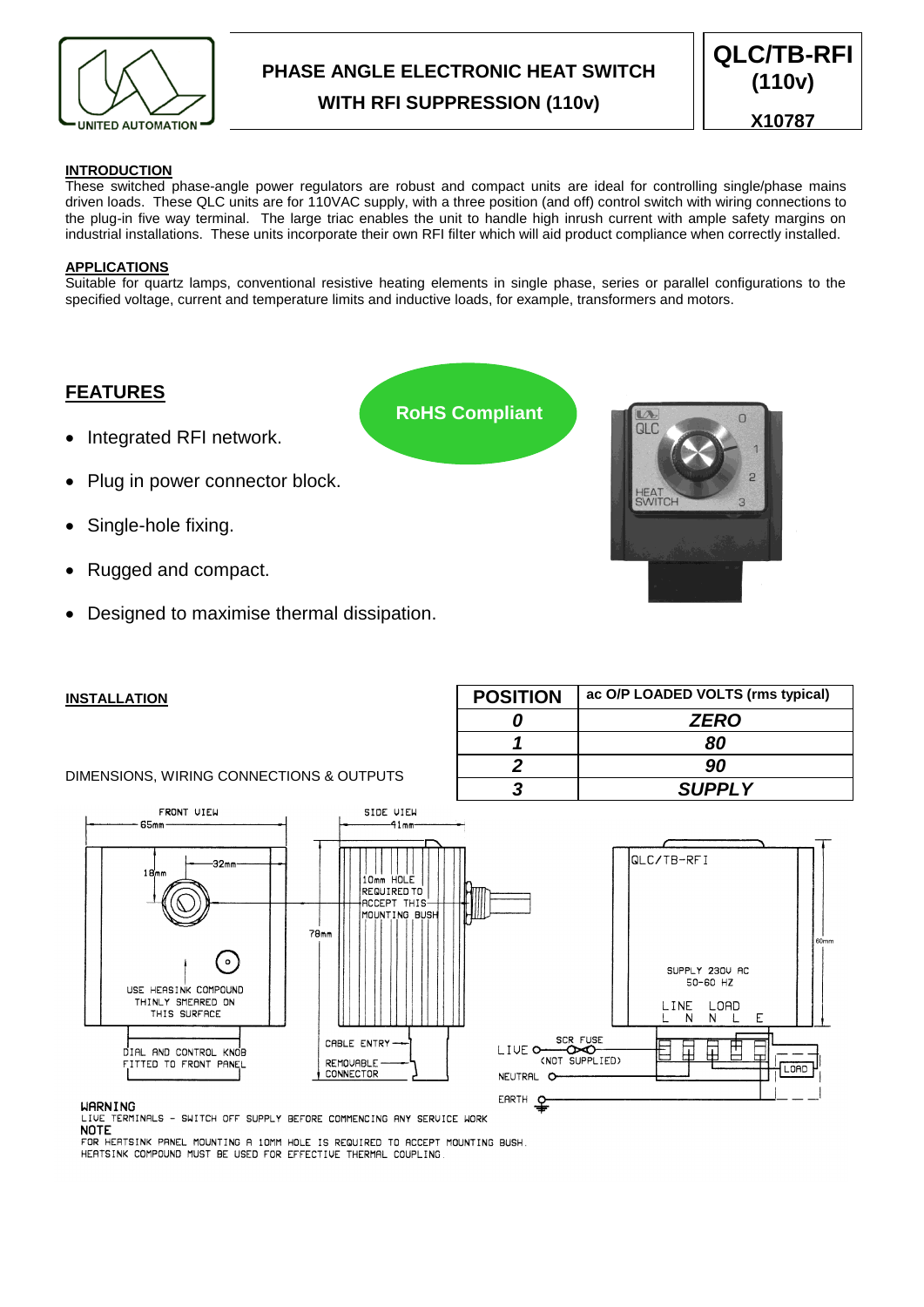

# **PHASE ANGLE ELECTRONIC HEAT SWITCH WITH RFI SUPPRESSION (110v)**

**QLC/TB-RFI (110v) X10787**

# **INTRODUCTION**

These switched phase-angle power regulators are robust and compact units are ideal for controlling single/phase mains driven loads. These QLC units are for 110VAC supply, with a three position (and off) control switch with wiring connections to the plug-in five way terminal. The large triac enables the unit to handle high inrush current with ample safety margins on industrial installations. These units incorporate their own RFI filter which will aid product compliance when correctly installed.

# **APPLICATIONS**

Suitable for quartz lamps, conventional resistive heating elements in single phase, series or parallel configurations to the specified voltage, current and temperature limits and inductive loads, for example, transformers and motors.

**RoHS Compliant**

# **FEATURES**

- Integrated RFI network.
- Plug in power connector block.
- Single-hole fixing.
- Rugged and compact.
- Designed to maximise thermal dissipation.



**POSITION ac O/P LOADED VOLTS (rms typical)**

*0 ZERO 1 80 2 90 3 SUPPLY*

# **INSTALLATION**

# DIMENSIONS, WIRING CONNECTIONS & OUTPUTS



#### **WARNING**

LIVE TERMINALS - SWITCH OFF SUPPLY BEFORE COMMENCING ANY SERVICE WORK

FOR HEATSINK PANEL MOUNTING A 10MM HOLE IS REQUIRED TO ACCEPT MOUNTING BUSH. HEATSINK COMPOUND MUST BE USED FOR EFFECTIVE THERMAL COUPLING.